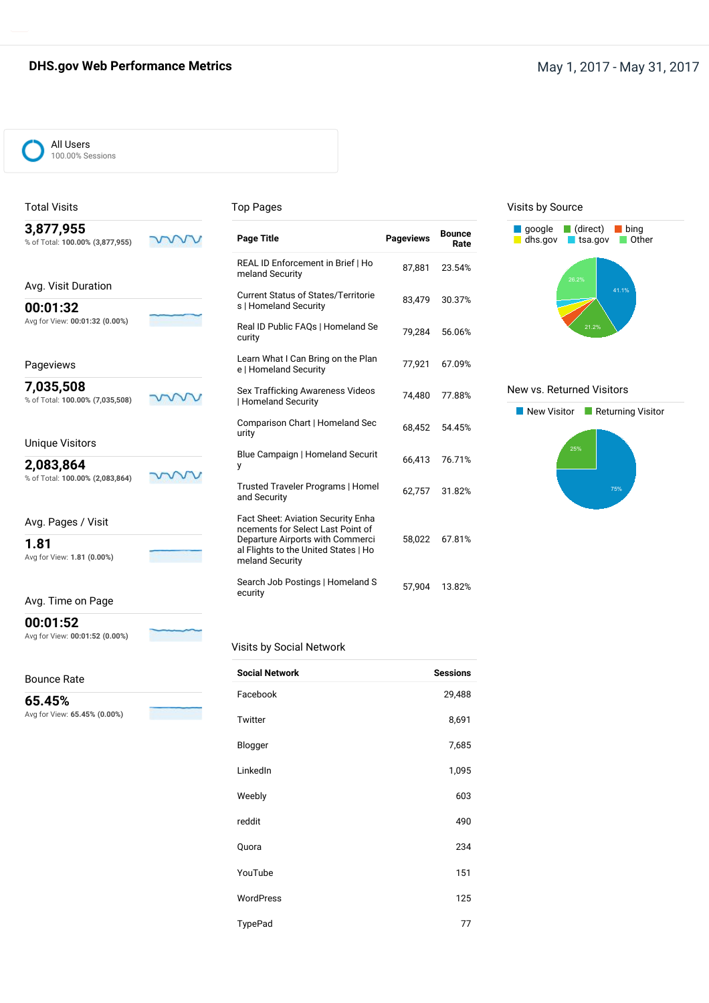# **DHS.gov Web Performance Metrics May 1, 2017 - May 31, 2017**



### Total Visits

**3,877,955**

#### Top Pages

| 3,877,955<br>% of Total: 100.00% (3,877,955) | <b>Page Title</b>                                                                           | <b>Pageviews</b> | <b>Bounce</b><br>Rate |
|----------------------------------------------|---------------------------------------------------------------------------------------------|------------------|-----------------------|
|                                              | REAL ID Enforcement in Brief   Ho<br>meland Security                                        | 87,881           | 23.54%                |
| Avg. Visit Duration                          | <b>Current Status of States/Territorie</b>                                                  |                  |                       |
| 00:01:32                                     | s   Homeland Security                                                                       | 83,479           | 30.37%                |
| Avg for View: 00:01:32 (0.00%)               | Real ID Public FAQs   Homeland Se<br>curity                                                 | 79,284           | 56.06%                |
| Pageviews                                    | Learn What I Can Bring on the Plan<br>e   Homeland Security                                 | 77,921           | 67.09%                |
| 7,035,508<br>% of Total: 100.00% (7,035,508) | Sex Trafficking Awareness Videos<br>  Homeland Security                                     | 74,480           | 77.88%                |
| <b>Unique Visitors</b>                       | Comparison Chart   Homeland Sec<br>urity                                                    | 68.452           | 54.45%                |
| 2,083,864                                    | Blue Campaign   Homeland Securit<br>y                                                       | 66,413           | 76.71%                |
| % of Total: 100.00% (2,083,864)              | Trusted Traveler Programs   Homel<br>and Security                                           | 62.757           | 31.82%                |
| Avg. Pages / Visit                           | Fact Sheet: Aviation Security Enha<br>ncements for Select Last Point of                     |                  |                       |
| 1.81<br>Avg for View: 1.81 (0.00%)           | Departure Airports with Commerci<br>al Flights to the United States   Ho<br>meland Security | 58,022           | 67.81%                |
|                                              | Search Job Postings   Homeland S<br>ecurity                                                 | 57.904           | 13.82%                |

#### Visits by Source



#### New vs. Returned Visitors



Avg. Time on Page

**00:01:52**

Avg for View: **00:01:52 (0.00%)**

#### Bounce Rate

**65.45%**

Avg for View: **65.45% (0.00%)**

### Visits by Social Network

| <b>Social Network</b> | <b>Sessions</b> |
|-----------------------|-----------------|
| Facebook              | 29,488          |
| Twitter               | 8,691           |
| Blogger               | 7,685           |
| LinkedIn              | 1,095           |
| Weebly                | 603             |
| reddit                | 490             |
| Quora                 | 234             |
| YouTube               | 151             |
| WordPress             | 125             |
| TypePad               | 77              |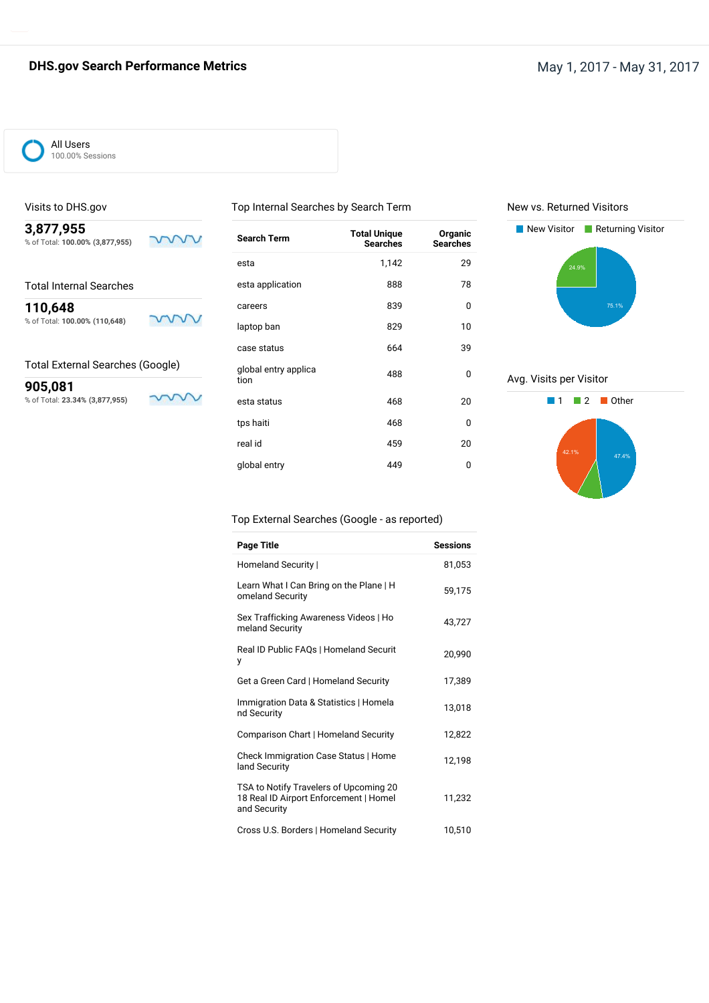# **DHS.gov Search Performance Metrics** May 1, 2017 - May 31, 2017



#### Visits to DHS.gov

**3,877,955** % of Total: **100.00% (3,877,955)**

Total Internal Searches

**110,648** % of Total: **100.00% (110,648)**

mw

#### Total External Searches (Google)

**905,081** % of Total: **23.34% (3,877,955)**

w

mm

| <b>Search Term</b>           | <b>Total Unique</b><br><b>Searches</b> | Organic<br><b>Searches</b> |
|------------------------------|----------------------------------------|----------------------------|
| esta                         | 1,142                                  | 29                         |
| esta application             | 888                                    | 78                         |
| careers                      | 839                                    | 0                          |
| laptop ban                   | 829                                    | 10                         |
| case status                  | 664                                    | 39                         |
| global entry applica<br>tion | 488                                    | 0                          |
| esta status                  | 468                                    | 20                         |
| tps haiti                    | 468                                    | 0                          |
| real id                      | 459                                    | 20                         |
| global entry                 | 449                                    | 0                          |
|                              |                                        |                            |

Top Internal Searches by Search Term

New vs. Returned Visitors



Avg. Visits per Visitor



### Top External Searches (Google - as reported)

| <b>Page Title</b>                                                                                | <b>Sessions</b> |
|--------------------------------------------------------------------------------------------------|-----------------|
| Homeland Security                                                                                | 81,053          |
| Learn What I Can Bring on the Plane   H<br>omeland Security                                      | 59,175          |
| Sex Trafficking Awareness Videos   Ho<br>meland Security                                         | 43,727          |
| Real ID Public FAQs   Homeland Securit<br>у                                                      | 20,990          |
| Get a Green Card   Homeland Security                                                             | 17,389          |
| Immigration Data & Statistics   Homela<br>nd Security                                            | 13,018          |
| Comparison Chart   Homeland Security                                                             | 12,822          |
| Check Immigration Case Status   Home<br>land Security                                            | 12,198          |
| TSA to Notify Travelers of Upcoming 20<br>18 Real ID Airport Enforcement   Homel<br>and Security | 11,232          |
| Cross U.S. Borders   Homeland Security                                                           | 10,510          |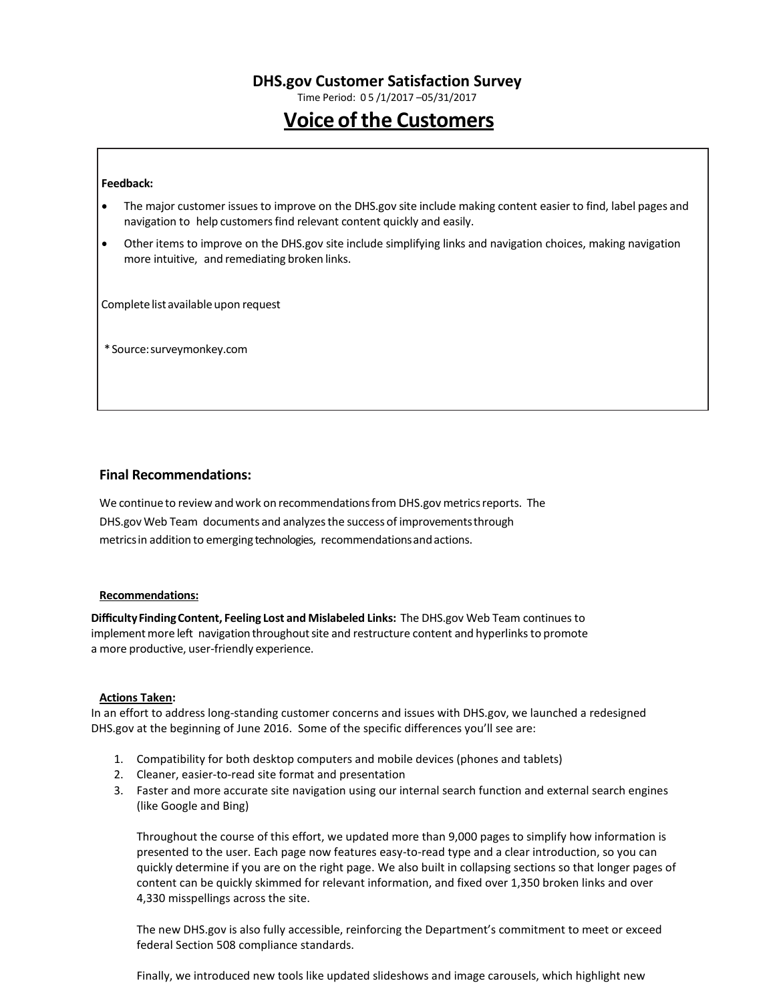Time Period: 0 5 /1/2017 –05/31/2017

# **Voice of the Customers**

#### **Feedback:**

- The major customer issuesto improve on the DHS.gov site include making content easier to find, label pages and navigation to help customers find relevant content quickly and easily.
- Other items to improve on the DHS.gov site include simplifying links and navigation choices, making navigation more intuitive, and remediating broken links.

Complete list available upon request

\*Source:surveymonkey.com

#### **Final Recommendations:**

We continue to review and work on recommendations from DHS.gov metrics reports. The DHS.gov Web Team documents and analyzesthe success of improvementsthrough metricsin addition to emerging technologies, recommendationsandactions.

#### **Recommendations:**

**DifficultyFindingContent, Feeling Lost and Mislabeled Links:** The DHS.gov Web Team continues to implement more left navigation throughout site and restructure content and hyperlinks to promote a more productive, user-friendly experience.

#### **Actions Taken:**

In an effort to address long-standing customer concerns and issues with DHS.gov, we launched a redesigned DHS.gov at the beginning of June 2016. Some of the specific differences you'll see are:

- 1. Compatibility for both desktop computers and mobile devices (phones and tablets)
- 2. Cleaner, easier-to-read site format and presentation
- 3. Faster and more accurate site navigation using our internal search function and external search engines (like Google and Bing)

Throughout the course of this effort, we updated more than 9,000 pages to simplify how information is presented to the user. Each page now features easy-to-read type and a clear introduction, so you can quickly determine if you are on the right page. We also built in collapsing sections so that longer pages of content can be quickly skimmed for relevant information, and fixed over 1,350 broken links and over 4,330 misspellings across the site.

The new DHS.gov is also fully accessible, reinforcing the Department's commitment to meet or exceed federal Section 508 compliance standards.

Finally, we introduced new tools like updated slideshows and image carousels, which highlight new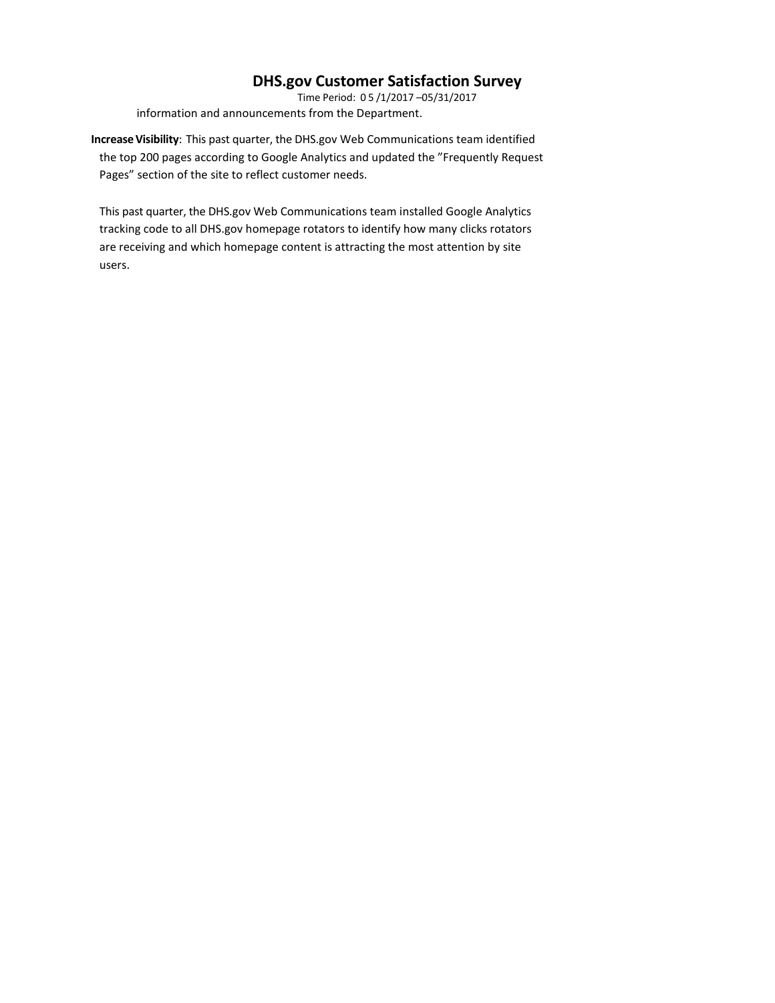Time Period: 0 5 /1/2017 –05/31/2017 information and announcements from the Department.

**IncreaseVisibility**: This past quarter, the DHS.gov Web Communications team identified the top 200 pages according to Google Analytics and updated the "Frequently Request Pages" section of the site to reflect customer needs.

This past quarter, the DHS.gov Web Communications team installed Google Analytics tracking code to all DHS.gov homepage rotators to identify how many clicks rotators are receiving and which homepage content is attracting the most attention by site users.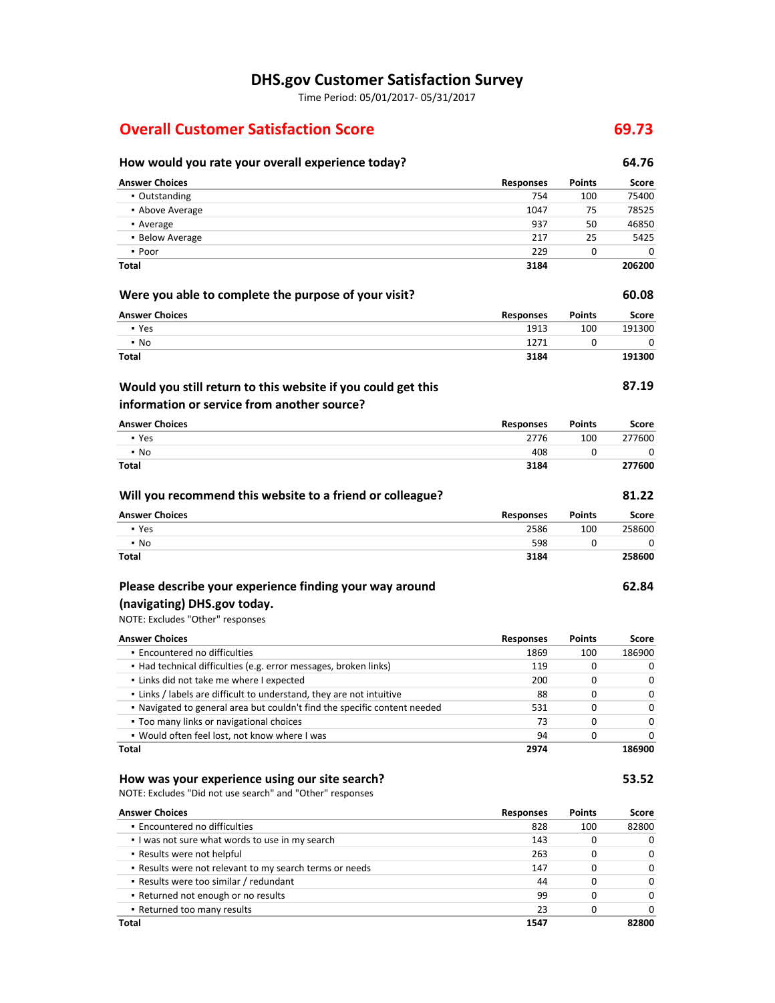Time Period: 05/01/2017- 05/31/2017

# **Overall Customer Satisfaction Score 69.73**

# **How would you rate your overall experience today? 64.76**

| <b>Answer Choices</b>                                                     | <b>Responses</b>         | Points | Score  |
|---------------------------------------------------------------------------|--------------------------|--------|--------|
| • Outstanding                                                             | 754                      | 100    | 75400  |
| • Above Average                                                           | 1047                     | 75     | 78525  |
| • Average                                                                 | 937                      | 50     | 46850  |
| • Below Average                                                           | 217                      | 25     | 5425   |
| • Poor                                                                    | 229                      | 0      | 0      |
| Total                                                                     | 3184                     |        | 206200 |
| Were you able to complete the purpose of your visit?                      |                          |        | 60.08  |
| <b>Answer Choices</b>                                                     | <b>Responses</b>         | Points | Score  |
| • Yes                                                                     | 1913                     | 100    | 191300 |
| • No                                                                      | 1271                     | 0      | 0      |
| Total                                                                     | 3184                     |        | 191300 |
| Would you still return to this website if you could get this              |                          |        | 87.19  |
| information or service from another source?                               |                          |        |        |
| <b>Answer Choices</b>                                                     | <b>Responses</b>         | Points | Score  |
| • Yes                                                                     | 2776                     | 100    | 277600 |
| $\blacksquare$ No                                                         | 408                      | 0      | 0      |
| Total                                                                     | 3184                     |        | 277600 |
| Will you recommend this website to a friend or colleague?                 |                          |        | 81.22  |
| <b>Answer Choices</b>                                                     | <b>Responses</b>         | Points | Score  |
| • Yes                                                                     | 2586                     | 100    | 258600 |
| $\blacksquare$ No                                                         | 598                      | 0      | 0      |
| <b>Total</b>                                                              | 3184                     |        | 258600 |
| Please describe your experience finding your way around                   |                          |        | 62.84  |
| (navigating) DHS.gov today.                                               |                          |        |        |
| NOTE: Excludes "Other" responses                                          |                          |        |        |
| <b>Answer Choices</b>                                                     |                          | Points | Score  |
| • Encountered no difficulties                                             | <b>Responses</b><br>1869 | 100    | 186900 |
| • Had technical difficulties (e.g. error messages, broken links)          | 119                      | 0      | 0      |
| . Links did not take me where I expected                                  | 200                      | 0      | 0      |
| . Links / labels are difficult to understand, they are not intuitive      | 88                       | 0      | 0      |
| . Navigated to general area but couldn't find the specific content needed | 531                      | 0      | 0      |
| . Too many links or navigational choices                                  | 73                       | 0      | 0      |
| . Would often feel lost, not know where I was                             | 94                       | 0      | 0      |
| Total                                                                     | 2974                     |        | 186900 |
| How was your experience using our site search?                            |                          |        | 53.52  |
| NOTE: Excludes "Did not use search" and "Other" responses                 |                          |        |        |
| <b>Answer Choices</b>                                                     | <b>Responses</b>         | Points | Score  |
| · Encountered no difficulties                                             | 828                      | 100    | 82800  |
| . I was not sure what words to use in my search                           | 143                      | 0      | 0      |
| . Results were not helpful                                                | 263                      | 0      | 0      |
| . Results were not relevant to my search terms or needs                   | 147                      | 0      | 0      |
| - Results were too similar / redundant                                    | 44                       | 0      | 0      |

▪ Returned not enough or no results 99 0 0 ▪ Returned too many results 23 0 0